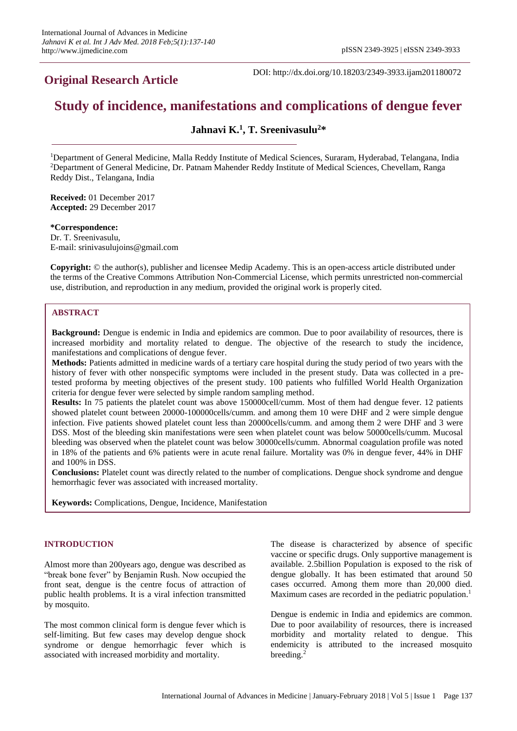## **Original Research Article**

DOI: http://dx.doi.org/10.18203/2349-3933.ijam201180072

# **Study of incidence, manifestations and complications of dengue fever**

## **Jahnavi K. 1 , T. Sreenivasulu<sup>2</sup>\***

<sup>1</sup>Department of General Medicine, Malla Reddy Institute of Medical Sciences, Suraram, Hyderabad, Telangana, India <sup>2</sup>Department of General Medicine, Dr. Patnam Mahender Reddy Institute of Medical Sciences, Chevellam, Ranga Reddy Dist., Telangana, India

**Received:** 01 December 2017 **Accepted:** 29 December 2017

### **\*Correspondence:**

Dr. T. Sreenivasulu, E-mail: srinivasulujoins@gmail.com

**Copyright:** © the author(s), publisher and licensee Medip Academy. This is an open-access article distributed under the terms of the Creative Commons Attribution Non-Commercial License, which permits unrestricted non-commercial use, distribution, and reproduction in any medium, provided the original work is properly cited.

## **ABSTRACT**

**Background:** Dengue is endemic in India and epidemics are common. Due to poor availability of resources, there is increased morbidity and mortality related to dengue. The objective of the research to study the incidence, manifestations and complications of dengue fever.

**Methods:** Patients admitted in medicine wards of a tertiary care hospital during the study period of two years with the history of fever with other nonspecific symptoms were included in the present study. Data was collected in a pretested proforma by meeting objectives of the present study. 100 patients who fulfilled World Health Organization criteria for dengue fever were selected by simple random sampling method.

**Results:** In 75 patients the platelet count was above 150000cell/cumm. Most of them had dengue fever. 12 patients showed platelet count between 20000-100000cells/cumm. and among them 10 were DHF and 2 were simple dengue infection. Five patients showed platelet count less than 20000cells/cumm. and among them 2 were DHF and 3 were DSS. Most of the bleeding skin manifestations were seen when platelet count was below 50000cells/cumm. Mucosal bleeding was observed when the platelet count was below 30000cells/cumm. Abnormal coagulation profile was noted in 18% of the patients and 6% patients were in acute renal failure. Mortality was 0% in dengue fever, 44% in DHF and 100% in DSS.

**Conclusions:** Platelet count was directly related to the number of complications. Dengue shock syndrome and dengue hemorrhagic fever was associated with increased mortality.

**Keywords:** Complications, Dengue, Incidence, Manifestation

## **INTRODUCTION**

Almost more than 200years ago, dengue was described as "break bone fever" by Benjamin Rush. Now occupied the front seat, dengue is the centre focus of attraction of public health problems. It is a viral infection transmitted by mosquito.

The most common clinical form is dengue fever which is self-limiting. But few cases may develop dengue shock syndrome or dengue hemorrhagic fever which is associated with increased morbidity and mortality.

The disease is characterized by absence of specific vaccine or specific drugs. Only supportive management is available. 2.5billion Population is exposed to the risk of dengue globally. It has been estimated that around 50 cases occurred. Among them more than 20,000 died. Maximum cases are recorded in the pediatric population.<sup>1</sup>

Dengue is endemic in India and epidemics are common. Due to poor availability of resources, there is increased morbidity and mortality related to dengue. This endemicity is attributed to the increased mosquito breeding.<sup>2</sup>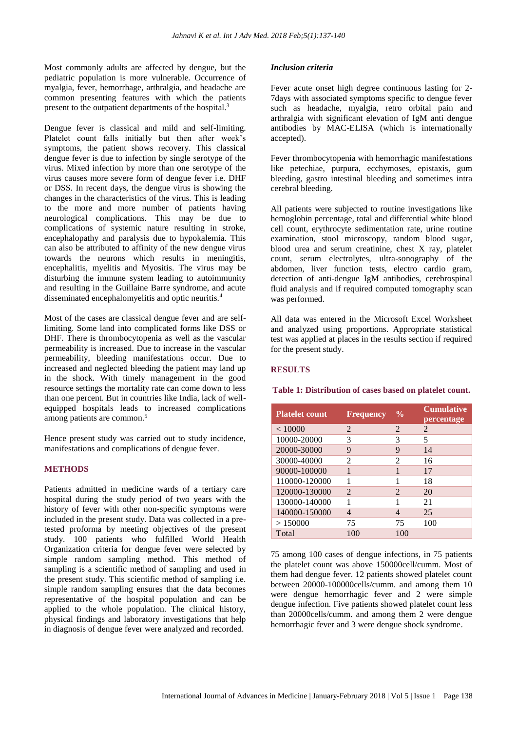Most commonly adults are affected by dengue, but the pediatric population is more vulnerable. Occurrence of myalgia, fever, hemorrhage, arthralgia, and headache are common presenting features with which the patients present to the outpatient departments of the hospital.<sup>3</sup>

Dengue fever is classical and mild and self-limiting. Platelet count falls initially but then after week's symptoms, the patient shows recovery. This classical dengue fever is due to infection by single serotype of the virus. Mixed infection by more than one serotype of the virus causes more severe form of dengue fever i.e. DHF or DSS. In recent days, the dengue virus is showing the changes in the characteristics of the virus. This is leading to the more and more number of patients having neurological complications. This may be due to complications of systemic nature resulting in stroke, encephalopathy and paralysis due to hypokalemia. This can also be attributed to affinity of the new dengue virus towards the neurons which results in meningitis, encephalitis, myelitis and Myositis. The virus may be disturbing the immune system leading to autoimmunity and resulting in the Guillaine Barre syndrome, and acute disseminated encephalomyelitis and optic neuritis.<sup>4</sup>

Most of the cases are classical dengue fever and are selflimiting. Some land into complicated forms like DSS or DHF. There is thrombocytopenia as well as the vascular permeability is increased. Due to increase in the vascular permeability, bleeding manifestations occur. Due to increased and neglected bleeding the patient may land up in the shock. With timely management in the good resource settings the mortality rate can come down to less than one percent. But in countries like India, lack of wellequipped hospitals leads to increased complications among patients are common.<sup>5</sup>

Hence present study was carried out to study incidence, manifestations and complications of dengue fever.

## **METHODS**

Patients admitted in medicine wards of a tertiary care hospital during the study period of two years with the history of fever with other non-specific symptoms were included in the present study. Data was collected in a pretested proforma by meeting objectives of the present study. 100 patients who fulfilled World Health Organization criteria for dengue fever were selected by simple random sampling method. This method of sampling is a scientific method of sampling and used in the present study. This scientific method of sampling i.e. simple random sampling ensures that the data becomes representative of the hospital population and can be applied to the whole population. The clinical history, physical findings and laboratory investigations that help in diagnosis of dengue fever were analyzed and recorded.

#### *Inclusion criteria*

Fever acute onset high degree continuous lasting for 2- 7days with associated symptoms specific to dengue fever such as headache, myalgia, retro orbital pain and arthralgia with significant elevation of IgM anti dengue antibodies by MAC-ELISA (which is internationally accepted).

Fever thrombocytopenia with hemorrhagic manifestations like petechiae, purpura, ecchymoses, epistaxis, gum bleeding, gastro intestinal bleeding and sometimes intra cerebral bleeding.

All patients were subjected to routine investigations like hemoglobin percentage, total and differential white blood cell count, erythrocyte sedimentation rate, urine routine examination, stool microscopy, random blood sugar, blood urea and serum creatinine, chest X ray, platelet count, serum electrolytes, ultra-sonography of the abdomen, liver function tests, electro cardio gram, detection of anti-dengue IgM antibodies, cerebrospinal fluid analysis and if required computed tomography scan was performed.

All data was entered in the Microsoft Excel Worksheet and analyzed using proportions. Appropriate statistical test was applied at places in the results section if required for the present study.

## **RESULTS**

**Table 1: Distribution of cases based on platelet count.**

| <b>Platelet count</b> | <b>Frequency</b>         | $\frac{0}{0}$               | <b>Cumulative</b><br>percentage |
|-----------------------|--------------------------|-----------------------------|---------------------------------|
| < 10000               | $\mathfrak{D}$           | $\mathcal{D}_{\mathcal{L}}$ | $\mathcal{D}_{\mathcal{L}}$     |
| 10000-20000           | 3                        | 3                           | 5                               |
| 20000-30000           | 9                        | 9                           | 14                              |
| 30000-40000           | 2                        | 2                           | 16                              |
| 90000-100000          | 1                        | 1                           | 17                              |
| 110000-120000         |                          |                             | 18                              |
| 120000-130000         | $\mathfrak{D}$           | $\mathcal{D}_{\mathcal{L}}$ | 20                              |
| 130000-140000         | 1                        |                             | 21                              |
| 140000-150000         | $\overline{\mathcal{A}}$ | 4                           | 25                              |
| >150000               | 75                       | 75                          | 100                             |
| Total                 | 100                      | 100                         |                                 |

75 among 100 cases of dengue infections, in 75 patients the platelet count was above 150000cell/cumm. Most of them had dengue fever. 12 patients showed platelet count between 20000-100000cells/cumm. and among them 10 were dengue hemorrhagic fever and 2 were simple dengue infection. Five patients showed platelet count less than 20000cells/cumm. and among them 2 were dengue hemorrhagic fever and 3 were dengue shock syndrome.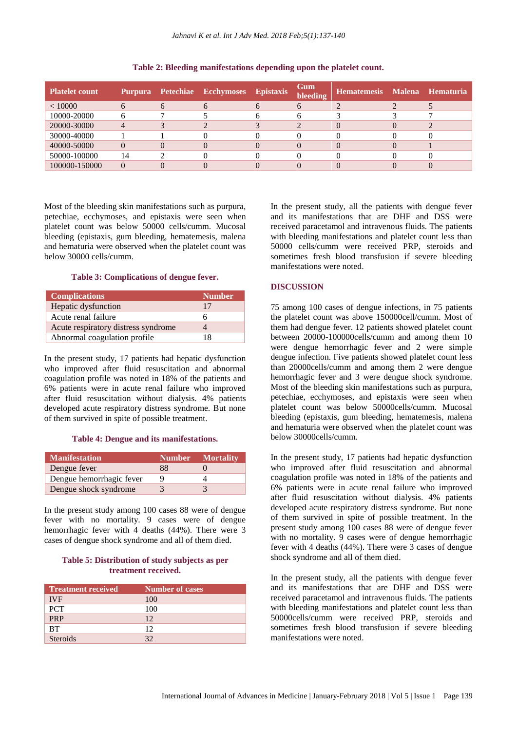| Platelet count | Purpura |          | <b>Petechiae Ecchymoses Epistaxis</b> | Gum<br>bleeding | Hematemesis Malena Hematuria |  |
|----------------|---------|----------|---------------------------------------|-----------------|------------------------------|--|
| < 10000        |         | 6        |                                       | n               |                              |  |
| 10000-20000    |         |          |                                       |                 |                              |  |
| 20000-30000    |         |          |                                       |                 |                              |  |
| 30000-40000    |         |          |                                       |                 |                              |  |
| 40000-50000    |         | $\Omega$ |                                       |                 |                              |  |
| 50000-100000   | 14      |          |                                       |                 |                              |  |
| 100000-150000  |         |          |                                       |                 |                              |  |

**Table 2: Bleeding manifestations depending upon the platelet count.**

Most of the bleeding skin manifestations such as purpura, petechiae, ecchymoses, and epistaxis were seen when platelet count was below 50000 cells/cumm. Mucosal bleeding (epistaxis, gum bleeding, hematemesis, malena and hematuria were observed when the platelet count was below 30000 cells/cumm.

**Table 3: Complications of dengue fever.**

| <b>Complications</b>                | <b>Number</b> |
|-------------------------------------|---------------|
| Hepatic dysfunction                 | 17            |
| Acute renal failure                 |               |
| Acute respiratory distress syndrome |               |
| Abnormal coagulation profile        | 18            |

In the present study, 17 patients had hepatic dysfunction who improved after fluid resuscitation and abnormal coagulation profile was noted in 18% of the patients and 6% patients were in acute renal failure who improved after fluid resuscitation without dialysis. 4% patients developed acute respiratory distress syndrome. But none of them survived in spite of possible treatment.

#### **Table 4: Dengue and its manifestations.**

| <b>Manifestation</b>     | <b>Number</b> | <b>Mortality</b> |
|--------------------------|---------------|------------------|
| Dengue fever             | 88            |                  |
| Dengue hemorrhagic fever |               |                  |
| Dengue shock syndrome    |               |                  |

In the present study among 100 cases 88 were of dengue fever with no mortality. 9 cases were of dengue hemorrhagic fever with 4 deaths (44%). There were 3 cases of dengue shock syndrome and all of them died.

## **Table 5: Distribution of study subjects as per treatment received.**

| <b>Treatment received</b> | <b>Number of cases</b> |
|---------------------------|------------------------|
| <b>IVF</b>                | 100                    |
| <b>PCT</b>                | 100                    |
| <b>PRP</b>                | 12                     |
| <b>BT</b>                 | 12                     |
| <b>Steroids</b>           | 32                     |

In the present study, all the patients with dengue fever and its manifestations that are DHF and DSS were received paracetamol and intravenous fluids. The patients with bleeding manifestations and platelet count less than 50000 cells/cumm were received PRP, steroids and sometimes fresh blood transfusion if severe bleeding manifestations were noted.

## **DISCUSSION**

75 among 100 cases of dengue infections, in 75 patients the platelet count was above 150000cell/cumm. Most of them had dengue fever. 12 patients showed platelet count between 20000-100000cells/cumm and among them 10 were dengue hemorrhagic fever and 2 were simple dengue infection. Five patients showed platelet count less than 20000cells/cumm and among them 2 were dengue hemorrhagic fever and 3 were dengue shock syndrome. Most of the bleeding skin manifestations such as purpura, petechiae, ecchymoses, and epistaxis were seen when platelet count was below 50000cells/cumm. Mucosal bleeding (epistaxis, gum bleeding, hematemesis, malena and hematuria were observed when the platelet count was below 30000cells/cumm.

In the present study, 17 patients had hepatic dysfunction who improved after fluid resuscitation and abnormal coagulation profile was noted in 18% of the patients and 6% patients were in acute renal failure who improved after fluid resuscitation without dialysis. 4% patients developed acute respiratory distress syndrome. But none of them survived in spite of possible treatment. In the present study among 100 cases 88 were of dengue fever with no mortality. 9 cases were of dengue hemorrhagic fever with 4 deaths (44%). There were 3 cases of dengue shock syndrome and all of them died.

In the present study, all the patients with dengue fever and its manifestations that are DHF and DSS were received paracetamol and intravenous fluids. The patients with bleeding manifestations and platelet count less than 50000cells/cumm were received PRP, steroids and sometimes fresh blood transfusion if severe bleeding manifestations were noted.